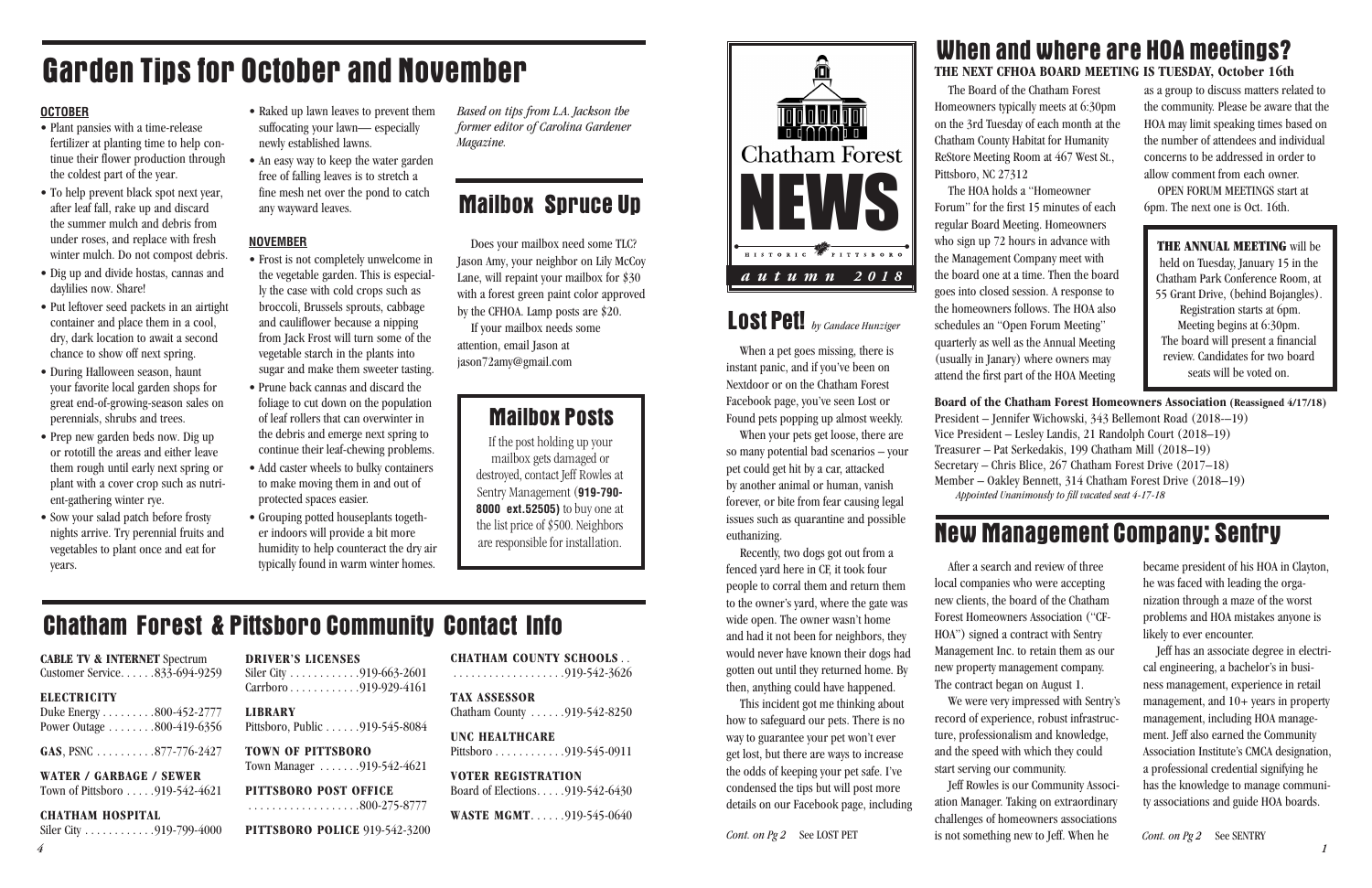

The Board of the Chatham Forest Homeowners typically meets at 6:30pm on the 3rd Tuesday of each month at the Chatham County Habitat for Humanity ReStore Meeting Room at 467 West St., Pittsboro, NC 27312

The HOA holds a "Homeowner Forum" for the first 15 minutes of each regular Board Meeting. Homeowners who sign up 72 hours in advance with the Management Company meet with the board one at a time. Then the board goes into closed session. A response to the homeowners follows. The HOA also schedules an "Open Forum Meeting" quarterly as well as the Annual Meeting (usually in Janary) where owners may attend the first part of the HOA Meeting

THE ANNUAL MEETING will be held on Tuesday, January 15 in the Chatham Park Conference Room, at 55 Grant Drive, (behind Bojangles). Registration starts at 6pm. Meeting begins at 6:30pm. The board will present a financial review. Candidates for two board seats will be voted on.

as a group to discuss matters related to the community. Please be aware that the HOA may limit speaking times based on the number of attendees and individual concerns to be addressed in order to allow comment from each owner.

OPEN FORUM MEETINGS start at 6pm. The next one is Oct. 16th.

Jeff Rowles is our Community Association Manager. Taking on extraordinary challenges of homeowners associations *Cont. on Pg 2* See LOST PET is not something new to Jeff. When he *Cont. on Pg 2* See SENTRY

**Board of the Chatham Forest Homeowners Association (Reassigned 4/17/18)** President – Jennifer Wichowski, 343 Bellemont Road (2018-–19) Vice President – Lesley Landis, 21 Randolph Court (2018–19) Treasurer – Pat Serkedakis, 199 Chatham Mill (2018–19) Secretary – Chris Blice, 267 Chatham Forest Drive (2017–18) Member – Oakley Bennett, 314 Chatham Forest Drive (2018–19) *Appointed Unanimously to fill vacated seat 4-17-18*

## When and where are HOA meetings? **THE NEXT CFHOA BOARD MEETING IS TUESDAY, October 16th**

After a search and review of three We were very impressed with Sentry's

local companies who were accepting new clients, the board of the Chatham Forest Homeowners Association ("CF-HOA") signed a contract with Sentry Management Inc. to retain them as our new property management company. The contract began on August 1. record of experience, robust infrastructure, professionalism and knowledge, and the speed with which they could start serving our community.

## $Carrboro \ldots \ldots \ldots \ldots$  919-929-4161 **LIBRARY** Pittsboro, Public . . . . . . 919-545-8084 **TOWN OF PITTSBORO**

Siler City . . . . . . . . . . . . 919-663-2601

Town Manager . . . . . . . 919-542-4621

**TAX ASSESSOR** Chatham County  $\ldots \ldots$  919-542-8250 became president of his HOA in Clayton, he was faced with leading the organization through a maze of the worst problems and HOA mistakes anyone is likely to ever encounter.

**VOTER REGISTRATION** Board of Elections  $\ldots$  . 919-542-6430

**WASTE MGMT.** . . . . . . 919-545-0640

Jeff has an associate degree in electrical engineering, a bachelor's in business management, experience in retail management, and 10+ years in property management, including HOA management. Jeff also earned the Community Association Institute's CMCA designation, a professional credential signifying he has the knowledge to manage community associations and guide HOA boards.

When a pet goes missing, there is instant panic, and if you've been on Nextdoor or on the Chatham Forest Facebook page, you've seen Lost or Found pets popping up almost weekly.

When your pets get loose, there are so many potential bad scenarios – your pet could get hit by a car, attacked by another animal or human, vanish forever, or bite from fear causing legal issues such as quarantine and possible euthanizing.

Recently, two dogs got out from a fenced yard here in CF, it took four people to corral them and return them to the owner's yard, where the gate was wide open. The owner wasn't home and had it not been for neighbors, they would never have known their dogs had gotten out until they returned home. By then, anything could have happened.

This incident got me thinking about how to safeguard our pets. There is no way to guarantee your pet won't ever get lost, but there are ways to increase the odds of keeping your pet safe. I've condensed the tips but will post more details on our Facebook page, including

## New Management Company: Sentry

## Lost Pet! *by Candace Hunziger*

## **CABLE TV & INTERNET** Spectrum

Customer Service. . . . . . 833-694-9259

### **ELECTRICITY**

Duke Energy  $\dots \dots 800-452-2777$ Power Outage  $\dots \dots 800-419-6356$ 

**GAS**, PSNC  $\dots \dots \dots \dots 877-776-2427$ 

**WATER / GARBAGE / SEWER**

Town of Pittsboro  $\ldots$  . 919-542-4621

### **CHATHAM HOSPITAL**

Siler City . . . . . . . . . . . . . 919-799-4000

**DRIVER'S LICENSES**

**PITTSBORO POST OFFICE**

. . . . . . . . . . . . . . . . . . .800-275-8777

**PITTSBORO POLICE** 919-542-3200

**CHATHAM COUNTY SCHOOLS** . . . . . . . . . . . . . . . . . . . .919-542-3626

**UNC HEALTHCARE**

Pittsboro . . . . . . . . . . . . . 919-545-0911

## Chatham Forest & Pittsboro Community Contact Info

# Garden Tips for October and November

## **OCTOBER**

- Plant pansies with a time-release fertilizer at planting time to help continue their flower production through the coldest part of the year.
- To help prevent black spot next year, after leaf fall, rake up and discard the summer mulch and debris from under roses, and replace with fresh winter mulch. Do not compost debris.
- Dig up and divide hostas, cannas and daylilies now. Share!
- Put leftover seed packets in an airtight container and place them in a cool, dry, dark location to await a second chance to show off next spring.
- During Halloween season, haunt your favorite local garden shops for great end-of-growing-season sales on perennials, shrubs and trees.
- Prep new garden beds now. Dig up or rototill the areas and either leave them rough until early next spring or plant with a cover crop such as nutrient-gathering winter rye.
- Sow your salad patch before frosty nights arrive. Try perennial fruits and vegetables to plant once and eat for years.
- Raked up lawn leaves to prevent them suffocating your lawn— especially newly established lawns.
- An easy way to keep the water garden free of falling leaves is to stretch a fine mesh net over the pond to catch any wayward leaves.

## **NOVEMBER**

- Frost is not completely unwelcome in the vegetable garden. This is especially the case with cold crops such as broccoli, Brussels sprouts, cabbage and cauliflower because a nipping from Jack Frost will turn some of the vegetable starch in the plants into sugar and make them sweeter tasting.
- Prune back cannas and discard the foliage to cut down on the population of leaf rollers that can overwinter in the debris and emerge next spring to continue their leaf-chewing problems.
- Add caster wheels to bulky containers to make moving them in and out of protected spaces easier.
- Grouping potted houseplants together indoors will provide a bit more humidity to help counteract the dry air typically found in warm winter homes.

*Based on tips from L.A. Jackson the former editor of Carolina Gardener Magazine.*

## **Mailbox Spruce Up**

## Mailbox Posts

If the post holding up your mailbox gets damaged or destroyed, contact Jeff Rowles at Sentry Management (**919-790- 8000 ext.52505)** to buy one at the list price of \$500. Neighbors are responsible for installation.

Does your mailbox need some TLC? Jason Amy, your neighbor on Lily McCoy Lane, will repaint your mailbox for \$30 with a forest green paint color approved by the CFHOA. Lamp posts are \$20.

If your mailbox needs some attention, email Jason at jason72amy@gmail.com